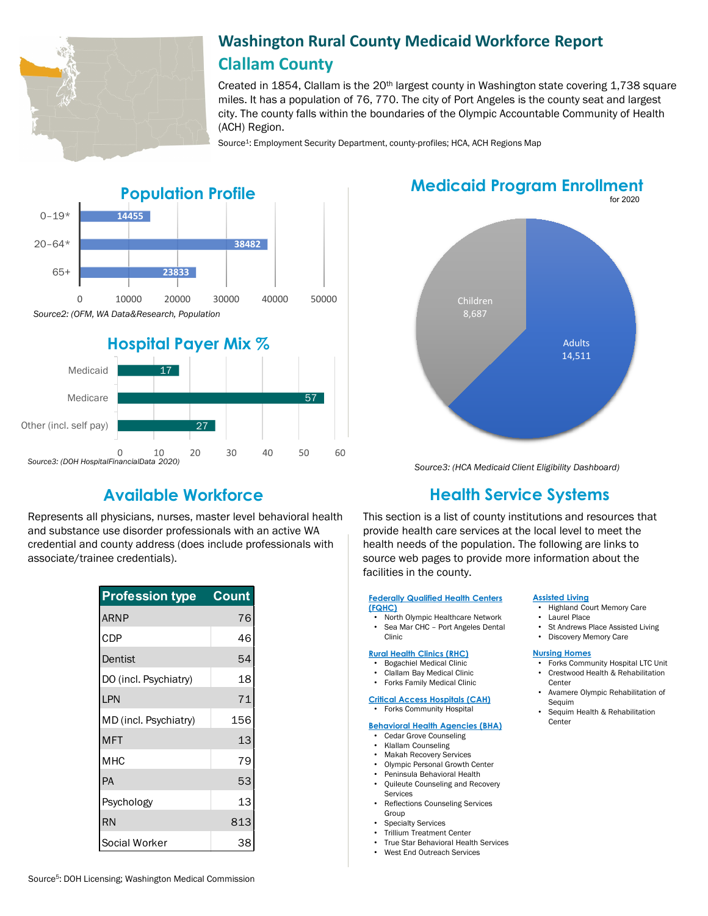

# **Washington Rural County Medicaid Workforce Report Clallam County**

Created in 1854, Clallam is the  $20<sup>th</sup>$  largest county in Washington state covering 1,738 square miles. It has a population of 76, 770. The city of Port Angeles is the county seat and largest city. The county falls within the boundaries of the Olympic Accountable Community of Health (ACH) Region.

Source<sup>1</sup>: Employment Security Department, county-profiles; HCA, ACH Regions Map





Represents all physicians, nurses, master level behavioral health and substance use disorder professionals with an active WA credential and county address (does include professionals with associate/trainee credentials).

| <b>Profession type</b> | <b>Count</b> |
|------------------------|--------------|
| <b>ARNP</b>            | 76           |
| CDP                    | 46           |
| Dentist                | 54           |
| DO (incl. Psychiatry)  | 18           |
| LPN                    | 71           |
| MD (incl. Psychiatry)  | 156          |
| <b>MFT</b>             | 13           |
| MHC                    | 79           |
| PA                     | 53           |
| Psychology             | 13           |
| <b>RN</b>              | 813          |
| Social Worker          | 38           |

for 2020 **Medicaid Program Enrollment**



*Source3: (HCA Medicaid Client Eligibility Dashboard)*

# **Available Workforce Health Service Systems**

This section is a list of county institutions and resources that provide health care services at the local level to meet the health needs of the population. The following are links to source web pages to provide more information about the facilities in the county.

#### **[Federally Qualified Health Centers](https://www.wacommunityhealth.org/)  (FQHC)**

• North Olympic Healthcare Network Sea Mar CHC - Port Angeles Dental Clinic

### **[Rural Health Clinics \(RHC\)](https://data.hrsa.gov/)**

- Bogachiel Medical Clinic
- Clallam Bay Medical Clinic
- Forks Family Medical Clinic

#### **[Critical Access Hospitals \(CAH\)](https://www.doh.wa.gov/ForPublicHealthandHealthcareProviders/RuralHealth/RuralHealthSystems)** • Forks Community Hospital

### **[Behavioral Health Agencies \(BHA\)](https://www.doh.wa.gov/LicensesPermitsandCertificates/ProviderCredentialSearch)**

- Cedar Grove Counseling
- Klallam Counseling
- Makah Recovery Services
- Olympic Personal Growth Center
- Peninsula Behavioral Health
- Quileute Counseling and Recovery Services
- Reflections Counseling Services Group
- **Specialty Services**
- Trillium Treatment Center
- True Star Behavioral Health Services
- West End Outreach Services

### **[Assisted Living](https://fortress.wa.gov/dshs/adsaapps/lookup/BHPubLookup.aspx)**

- Highland Court Memory Care
- Laurel Place
- St Andrews Place Assisted Living
- Discovery Memory Care

#### **[Nursing Homes](https://fortress.wa.gov/dshs/adsaapps/lookup/NHPubLookup.aspx)**

- Forks Community Hospital LTC Unit • Crestwood Health & Rehabilitation
- **Center** • Avamere Olympic Rehabilitation of Sequim
- Sequim Health & Rehabilitation **Center**